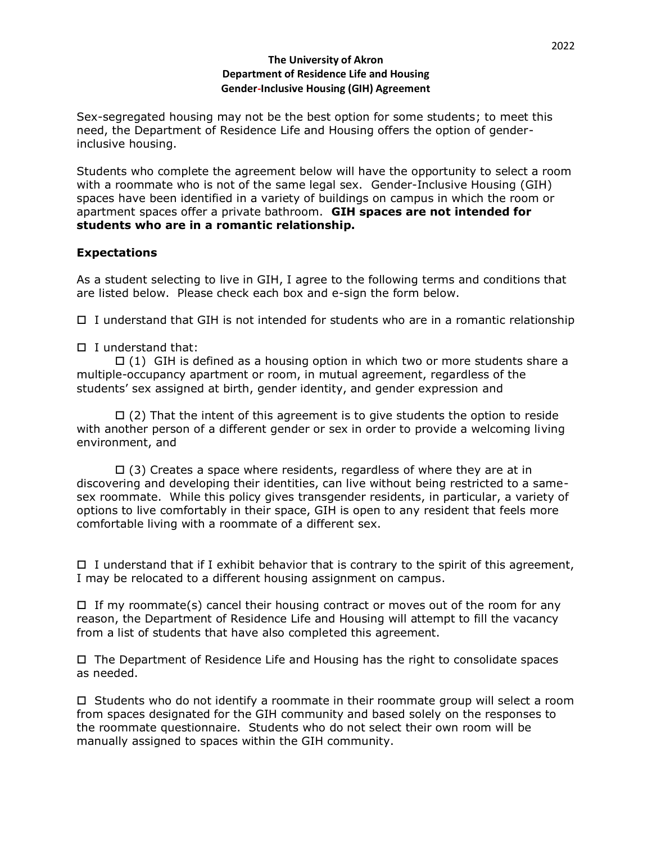## **The University of Akron Department of Residence Life and Housing Gender-Inclusive Housing (GIH) Agreement**

Sex-segregated housing may not be the best option for some students; to meet this need, the Department of Residence Life and Housing offers the option of genderinclusive housing.

Students who complete the agreement below will have the opportunity to select a room with a roommate who is not of the same legal sex. Gender-Inclusive Housing (GIH) spaces have been identified in a variety of buildings on campus in which the room or apartment spaces offer a private bathroom. **GIH spaces are not intended for students who are in a romantic relationship.**

## **Expectations**

As a student selecting to live in GIH, I agree to the following terms and conditions that are listed below. Please check each box and e-sign the form below.

 $\Box$  I understand that GIH is not intended for students who are in a romantic relationship

 $\Box$  I understand that:

 $\Box$  (1) GIH is defined as a housing option in which two or more students share a multiple-occupancy apartment or room, in mutual agreement, regardless of the students' sex assigned at birth, gender identity, and gender expression and

 $\Box$  (2) That the intent of this agreement is to give students the option to reside with another person of a different gender or sex in order to provide a welcoming living environment, and

 $\Box$  (3) Creates a space where residents, regardless of where they are at in discovering and developing their identities, can live without being restricted to a samesex roommate. While this policy gives transgender residents, in particular, a variety of options to live comfortably in their space, GIH is open to any resident that feels more comfortable living with a roommate of a different sex.

 $\Box$  I understand that if I exhibit behavior that is contrary to the spirit of this agreement, I may be relocated to a different housing assignment on campus.

 $\Box$  If my roommate(s) cancel their housing contract or moves out of the room for any reason, the Department of Residence Life and Housing will attempt to fill the vacancy from a list of students that have also completed this agreement.

 $\Box$  The Department of Residence Life and Housing has the right to consolidate spaces as needed.

 $\Box$  Students who do not identify a roommate in their roommate group will select a room from spaces designated for the GIH community and based solely on the responses to the roommate questionnaire. Students who do not select their own room will be manually assigned to spaces within the GIH community.